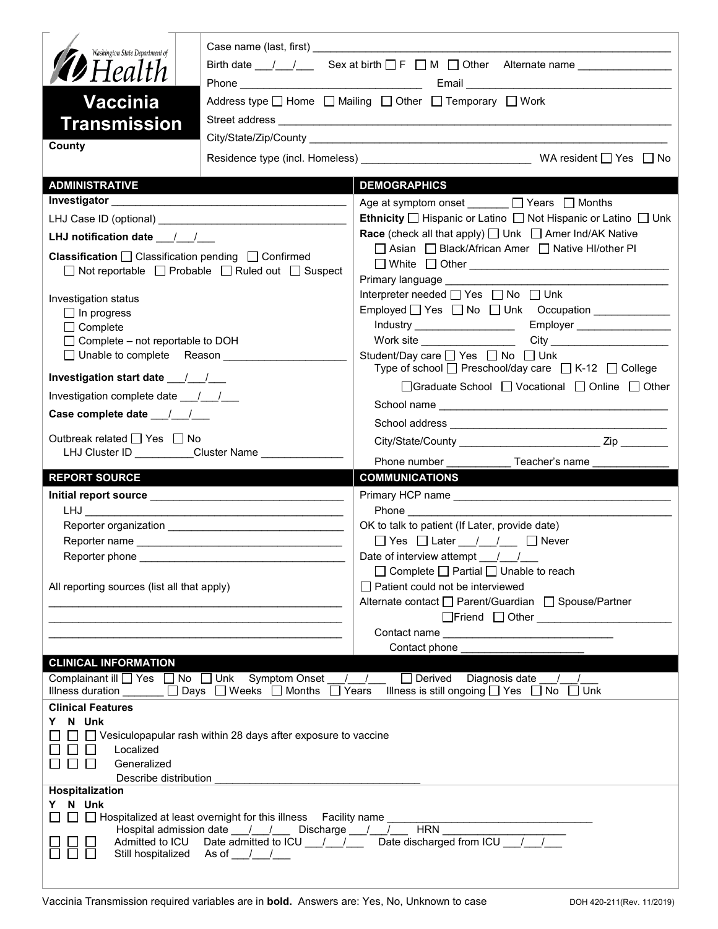| Washington State Department of<br><b>D</b> Health<br><b>Vaccinia</b><br><b>Transmission</b><br>County                                                                                                                                                                        |                                                                                                                       | Birth date $\frac{1}{\sqrt{2}}$ Sex at birth $\Box$ F $\Box$ M $\Box$ Other Alternate name $\Box$<br>Address type $\Box$ Home $\Box$ Mailing $\Box$ Other $\Box$ Temporary $\Box$ Work                  |  |  |
|------------------------------------------------------------------------------------------------------------------------------------------------------------------------------------------------------------------------------------------------------------------------------|-----------------------------------------------------------------------------------------------------------------------|---------------------------------------------------------------------------------------------------------------------------------------------------------------------------------------------------------|--|--|
|                                                                                                                                                                                                                                                                              |                                                                                                                       |                                                                                                                                                                                                         |  |  |
| <b>ADMINISTRATIVE</b>                                                                                                                                                                                                                                                        |                                                                                                                       | <b>DEMOGRAPHICS</b>                                                                                                                                                                                     |  |  |
| <b>Investigator Exercise 2020</b>                                                                                                                                                                                                                                            |                                                                                                                       | Age at symptom onset □ Years □ Months                                                                                                                                                                   |  |  |
|                                                                                                                                                                                                                                                                              |                                                                                                                       | <b>Ethnicity</b> $\Box$ Hispanic or Latino $\Box$ Not Hispanic or Latino $\Box$ Unk                                                                                                                     |  |  |
| LHJ notification date $\frac{1}{2}$                                                                                                                                                                                                                                          |                                                                                                                       | <b>Race</b> (check all that apply) $\Box$ Unk $\Box$ Amer Ind/AK Native                                                                                                                                 |  |  |
| Classification □ Classification pending □ Confirmed<br>$\Box$ Not reportable $\Box$ Probable $\Box$ Ruled out $\Box$ Suspect                                                                                                                                                 |                                                                                                                       | □ Asian □ Black/African Amer □ Native HI/other PI<br>□ White □ Other <u>___________________________________</u><br>Primary language Manuscriptus and the Primary language                               |  |  |
| Investigation status<br>$\Box$ In progress<br>$\Box$ Complete                                                                                                                                                                                                                |                                                                                                                       | Interpreter needed [ Yes   No   Unk                                                                                                                                                                     |  |  |
| $\Box$ Complete – not reportable to DOH                                                                                                                                                                                                                                      |                                                                                                                       |                                                                                                                                                                                                         |  |  |
| □ Unable to complete Reason _______________                                                                                                                                                                                                                                  |                                                                                                                       | Student/Day care <u>Sine Student</u> /Day on Bossey on Bossey<br>Type of school $\Box$ Preschool/day care $\Box$ K-12 $\Box$ College                                                                    |  |  |
| Investigation start date 11.1                                                                                                                                                                                                                                                |                                                                                                                       | □Graduate School □ Vocational □ Online □ Other                                                                                                                                                          |  |  |
| Investigation complete date 11/1                                                                                                                                                                                                                                             |                                                                                                                       |                                                                                                                                                                                                         |  |  |
| Case complete date __/_/__/                                                                                                                                                                                                                                                  |                                                                                                                       |                                                                                                                                                                                                         |  |  |
| Outbreak related □ Yes □ No                                                                                                                                                                                                                                                  | LHJ Cluster ID Cluster Name                                                                                           |                                                                                                                                                                                                         |  |  |
| <b>REPORT SOURCE</b>                                                                                                                                                                                                                                                         |                                                                                                                       | Phone number<br>Teacher's name<br><b>COMMUNICATIONS</b>                                                                                                                                                 |  |  |
|                                                                                                                                                                                                                                                                              |                                                                                                                       |                                                                                                                                                                                                         |  |  |
|                                                                                                                                                                                                                                                                              |                                                                                                                       | <b>Phone Example 20</b>                                                                                                                                                                                 |  |  |
|                                                                                                                                                                                                                                                                              |                                                                                                                       | OK to talk to patient (If Later, provide date)                                                                                                                                                          |  |  |
|                                                                                                                                                                                                                                                                              |                                                                                                                       | □ Yes □ Later __/ _/ __ □ Never                                                                                                                                                                         |  |  |
| Reporter phone                                                                                                                                                                                                                                                               |                                                                                                                       | Date of interview attempt $\frac{1}{\sqrt{2}}$                                                                                                                                                          |  |  |
| All reporting sources (list all that apply)                                                                                                                                                                                                                                  |                                                                                                                       | $\Box$ Complete $\Box$ Partial $\Box$ Unable to reach<br>□ Patient could not be interviewed                                                                                                             |  |  |
|                                                                                                                                                                                                                                                                              | <u> 1989 - Jan James James Barbara, menyebaran pengaran pengaran pengaran pengaran pengaran pengaran pengaran pen</u> | Alternate contact<br>□ Parent/Guardian<br>□ Spouse/Partner                                                                                                                                              |  |  |
|                                                                                                                                                                                                                                                                              |                                                                                                                       |                                                                                                                                                                                                         |  |  |
|                                                                                                                                                                                                                                                                              |                                                                                                                       |                                                                                                                                                                                                         |  |  |
|                                                                                                                                                                                                                                                                              |                                                                                                                       | Contact phone __                                                                                                                                                                                        |  |  |
| <b>CLINICAL INFORMATION</b>                                                                                                                                                                                                                                                  |                                                                                                                       | Complainant ill TYes No Unk Symptom Onset / / Derived Diagnosis date /<br>Illness duration $\Box$ Days $\Box$ Weeks $\Box$ Months $\Box$ Years Illness is still ongoing $\Box$ Yes $\Box$ No $\Box$ Unk |  |  |
| <b>Clinical Features</b>                                                                                                                                                                                                                                                     |                                                                                                                       |                                                                                                                                                                                                         |  |  |
| N Unk                                                                                                                                                                                                                                                                        |                                                                                                                       |                                                                                                                                                                                                         |  |  |
| Localized<br>$\perp$<br>$\Box$<br>$\mathbf{L}$<br>Generalized<br>Describe distribution                                                                                                                                                                                       | $\Box$ Vesiculopapular rash within 28 days after exposure to vaccine                                                  |                                                                                                                                                                                                         |  |  |
| Hospitalization                                                                                                                                                                                                                                                              |                                                                                                                       |                                                                                                                                                                                                         |  |  |
| Y N Unk<br>□ Hospitalized at least overnight for this illness Facility name<br>$\Box$<br>HRN<br>Hospital admission date __/ __/ __ Discharge __/ __/<br>Admitted to ICU Date admitted to ICU __ / __ / __ Date discharged from ICU __ / __ /<br>Still hospitalized As of / / |                                                                                                                       |                                                                                                                                                                                                         |  |  |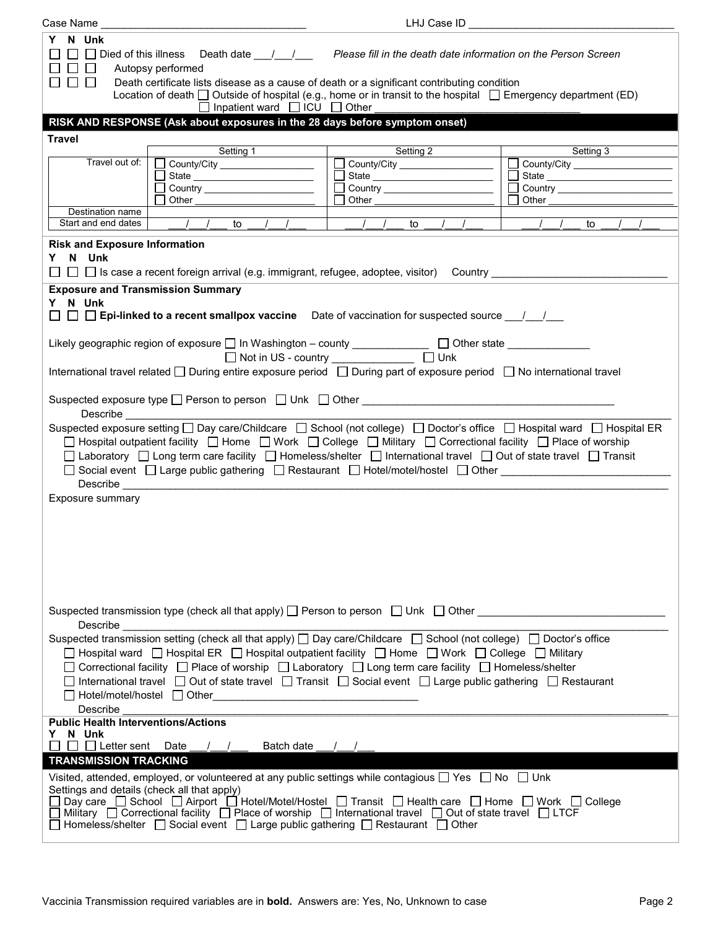| N Unk<br>Y.<br>$\Box$ Died of this illness<br>$\Box$<br>Autopsy performed<br>$\perp$<br>Death certificate lists disease as a cause of death or a significant contributing condition<br><b>Barbara</b><br>Location of death $\Box$ Outside of hospital (e.g., home or in transit to the hospital $\Box$ Emergency department (ED)<br>$\Box$ Inpatient ward $\Box$ ICU $\Box$ Other<br>RISK AND RESPONSE (Ask about exposures in the 28 days before symptom onset)<br><b>Travel</b><br>Setting 2<br>Setting 3<br>Setting 1                                                                                                                                                                                                                                                                                                                                                                                                                                                                                                                                                                                                                                                                                                                                                                                                                                                                                       | LHJ Case ID                    |  |  |  |  |  |
|----------------------------------------------------------------------------------------------------------------------------------------------------------------------------------------------------------------------------------------------------------------------------------------------------------------------------------------------------------------------------------------------------------------------------------------------------------------------------------------------------------------------------------------------------------------------------------------------------------------------------------------------------------------------------------------------------------------------------------------------------------------------------------------------------------------------------------------------------------------------------------------------------------------------------------------------------------------------------------------------------------------------------------------------------------------------------------------------------------------------------------------------------------------------------------------------------------------------------------------------------------------------------------------------------------------------------------------------------------------------------------------------------------------|--------------------------------|--|--|--|--|--|
|                                                                                                                                                                                                                                                                                                                                                                                                                                                                                                                                                                                                                                                                                                                                                                                                                                                                                                                                                                                                                                                                                                                                                                                                                                                                                                                                                                                                                |                                |  |  |  |  |  |
|                                                                                                                                                                                                                                                                                                                                                                                                                                                                                                                                                                                                                                                                                                                                                                                                                                                                                                                                                                                                                                                                                                                                                                                                                                                                                                                                                                                                                |                                |  |  |  |  |  |
|                                                                                                                                                                                                                                                                                                                                                                                                                                                                                                                                                                                                                                                                                                                                                                                                                                                                                                                                                                                                                                                                                                                                                                                                                                                                                                                                                                                                                |                                |  |  |  |  |  |
|                                                                                                                                                                                                                                                                                                                                                                                                                                                                                                                                                                                                                                                                                                                                                                                                                                                                                                                                                                                                                                                                                                                                                                                                                                                                                                                                                                                                                |                                |  |  |  |  |  |
| Travel out of:<br>County/City _________________<br>County/City ________________<br>County/City County County County                                                                                                                                                                                                                                                                                                                                                                                                                                                                                                                                                                                                                                                                                                                                                                                                                                                                                                                                                                                                                                                                                                                                                                                                                                                                                            |                                |  |  |  |  |  |
|                                                                                                                                                                                                                                                                                                                                                                                                                                                                                                                                                                                                                                                                                                                                                                                                                                                                                                                                                                                                                                                                                                                                                                                                                                                                                                                                                                                                                | □ State ______________________ |  |  |  |  |  |
| $\Box$<br>$\Box$                                                                                                                                                                                                                                                                                                                                                                                                                                                                                                                                                                                                                                                                                                                                                                                                                                                                                                                                                                                                                                                                                                                                                                                                                                                                                                                                                                                               |                                |  |  |  |  |  |
| Other the contract of the contract of the contract of the contract of the contract of the contract of the contract of the contract of the contract of the contract of the contract of the contract of the contract of the cont<br>Other the control of the control of the control of the control of the control of the control of the control of the control of the control of the control of the control of the control of the control of the control of the co                                                                                                                                                                                                                                                                                                                                                                                                                                                                                                                                                                                                                                                                                                                                                                                                                                                                                                                                               |                                |  |  |  |  |  |
| Destination name<br>Start and end dates<br>$\frac{1}{2}$                                                                                                                                                                                                                                                                                                                                                                                                                                                                                                                                                                                                                                                                                                                                                                                                                                                                                                                                                                                                                                                                                                                                                                                                                                                                                                                                                       |                                |  |  |  |  |  |
| $\left  \begin{array}{cccc} \end{array} \right $ $\left  \begin{array}{cccc} \end{array} \right $ to $\left  \begin{array}{cccc} \end{array} \right $<br>to to                                                                                                                                                                                                                                                                                                                                                                                                                                                                                                                                                                                                                                                                                                                                                                                                                                                                                                                                                                                                                                                                                                                                                                                                                                                 |                                |  |  |  |  |  |
| <b>Risk and Exposure Information</b><br>Y N Unk<br>$\Box$ $\Box$ Is case a recent foreign arrival (e.g. immigrant, refugee, adoptee, visitor) Country $\Box$<br><b>Exposure and Transmission Summary</b><br>Y N Unk<br>$\Box$ $\Box$ Epi-linked to a recent smallpox vaccine Date of vaccination for suspected source $\Box$ / $\Box$<br>Likely geographic region of exposure □ In Washington - county _____________ □ Other state ______________<br>□ Not in US - country □ □ Unk<br>International travel related □ During entire exposure period □ During part of exposure period □ No international travel<br>Describe <u>__________________________________</u><br>Suspected exposure setting □ Day care/Childcare □ School (not college) □ Doctor's office □ Hospital ward □ Hospital ER<br>□ Hospital outpatient facility □ Home □ Work □ College □ Military □ Correctional facility □ Place of worship<br>□ Laboratory □ Long term care facility □ Homeless/shelter □ International travel □ Out of state travel □ Transit<br>□ Social event □ Large public gathering □ Restaurant □ Hotel/motel/hostel □ Other _____________________________<br>Describe <b>Exercise Contract Contract Contract Contract Contract Contract Contract Contract Contract Contract Contract Contract Contract Contract Contract Contract Contract Contract Contract Contract Contract Contract Con</b><br>Exposure summary |                                |  |  |  |  |  |
| Suspected transmission type (check all that apply) $\Box$ Person to person $\Box$ Unk $\Box$ Other<br>Describe<br>Suspected transmission setting (check all that apply) □ Day care/Childcare □ School (not college) □ Doctor's office<br>□ Hospital ward □ Hospital ER □ Hospital outpatient facility □ Home □ Work □ College □ Military<br>Correctional facility □ Place of worship □ Laboratory □ Long term care facility □ Homeless/shelter<br>International travel Q Out of state travel Q Transit Q Social event Q Large public gathering Q Restaurant<br>Describe<br><b>Public Health Interventions/Actions</b><br>N Unk<br>Y<br>$\Box$ Letter sent Date / /<br>Batch date / /<br><b>TRANSMISSION TRACKING</b><br>Visited, attended, employed, or volunteered at any public settings while contagious $\Box$ Yes $\Box$ No $\Box$ Unk<br>Settings and details (check all that apply)<br>□ Day care □ School □ Airport □ Hotel/Motel/Hostel □ Transit □ Health care □ Home □ Work □ College<br>□ Military □ Correctional facility □ Place of worship □ International travel □ Out of state travel □ LTCF<br>$□$ Homeless/shelter $□$ Social event $□$ Large public gathering $□$ Restaurant $□$ Other                                                                                                                                                                                                     |                                |  |  |  |  |  |